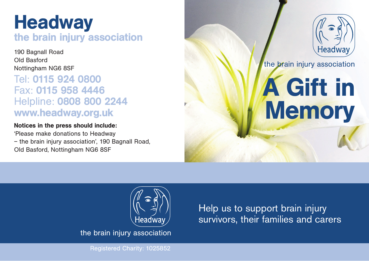## **Headway** the brain injury association

190 Bagnall Road Old Basford Nottingham NG6 8SF

### Tel: 0115 924 0800 Fax: 0115 958 4446 Helpline: 0808 800 2244 www.headway.org.uk

#### Notices in the press should include:

'Please make donations to Headway – the brain injury association', 190 Bagnall Road, Old Basford, Nottingham NG6 8SF



the brain injury association

# A Gift in **Memory**



the brain injury association

Help us to support brain injury survivors, their families and carers

Registered Charity: 1025852